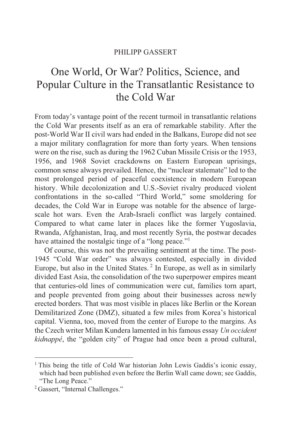#### PHILIPP GASSERT

# One World, Or War? Politics, Science, and Popular Culture in the Transatlantic Resistance to the Cold War

From today's vantage point of the recent turmoil in transatlantic relations the Cold War presents itself as an era of remarkable stability. After the post-World War II civil wars had ended in the Balkans, Europe did not see a major military conflagration for more than forty years. When tensions were on the rise, such as during the 1962 Cuban Missile Crisis or the 1953, 1956, and 1968 Soviet crackdowns on Eastern European uprisings, common sense always prevailed. Hence, the "nuclear stalemate" led to the most prolonged period of peaceful coexistence in modern European history. While decolonization and U.S.-Soviet rivalry produced violent confrontations in the so-called "Third World," some smoldering for decades, the Cold War in Europe was notable for the absence of largescale hot wars. Even the Arab-Israeli conflict was largely contained. Compared to what came later in places like the former Yugoslavia, Rwanda, Afghanistan, Iraq, and most recently Syria, the postwar decades have attained the nostalgic tinge of a "long peace."<sup>1</sup>

Of course, this was not the prevailing sentiment at the time. The post-1945 "Cold War order" was always contested, especially in divided Europe, but also in the United States. 2 In Europe, as well as in similarly divided East Asia, the consolidation of the two superpower empires meant that centuries-old lines of communication were cut, families torn apart, and people prevented from going about their businesses across newly erected borders. That was most visible in places like Berlin or the Korean Demilitarized Zone (DMZ), situated a few miles from Korea's historical capital. Vienna, too, moved from the center of Europe to the margins. As the Czech writer Milan Kundera lamented in his famous essay *Un occident kidnappé*, the "golden city" of Prague had once been a proud cultural,

<sup>&</sup>lt;sup>1</sup> This being the title of Cold War historian John Lewis Gaddis's iconic essay, which had been published even before the Berlin Wall came down; see Gaddis, "The Long Peace."

<sup>2</sup> Gassert, "Internal Challenges."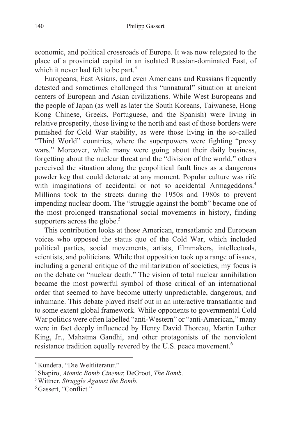economic, and political crossroads of Europe. It was now relegated to the place of a provincial capital in an isolated Russian-dominated East, of which it never had felt to be part.<sup>3</sup>

Europeans, East Asians, and even Americans and Russians frequently detested and sometimes challenged this "unnatural" situation at ancient centers of European and Asian civilizations. While West Europeans and the people of Japan (as well as later the South Koreans, Taiwanese, Hong Kong Chinese, Greeks, Portuguese, and the Spanish) were living in relative prosperity, those living to the north and east of those borders were punished for Cold War stability, as were those living in the so-called "Third World" countries, where the superpowers were fighting "proxy wars." Moreover, while many were going about their daily business, forgetting about the nuclear threat and the "division of the world," others perceived the situation along the geopolitical fault lines as a dangerous powder keg that could detonate at any moment. Popular culture was rife with imaginations of accidental or not so accidental Armageddons.<sup>4</sup> Millions took to the streets during the 1950s and 1980s to prevent impending nuclear doom. The "struggle against the bomb" became one of the most prolonged transnational social movements in history, finding supporters across the globe. $5$ 

This contribution looks at those American, transatlantic and European voices who opposed the status quo of the Cold War, which included political parties, social movements, artists, filmmakers, intellectuals, scientists, and politicians. While that opposition took up a range of issues, including a general critique of the militarization of societies, my focus is on the debate on "nuclear death." The vision of total nuclear annihilation became the most powerful symbol of those critical of an international order that seemed to have become utterly unpredictable, dangerous, and inhumane. This debate played itself out in an interactive transatlantic and to some extent global framework. While opponents to governmental Cold War politics were often labelled "anti-Western" or "anti-American," many were in fact deeply influenced by Henry David Thoreau, Martin Luther King, Jr., Mahatma Gandhi, and other protagonists of the nonviolent resistance tradition equally revered by the U.S. peace movement.<sup>6</sup>

<sup>3</sup> Kundera, "Die Weltliteratur."

<sup>4</sup> Shapiro, *Atomic Bomb Cinema*; DeGroot, *The Bomb*. 5 Wittner, *Struggle Against the Bomb*. 6 Gassert, "Conflict."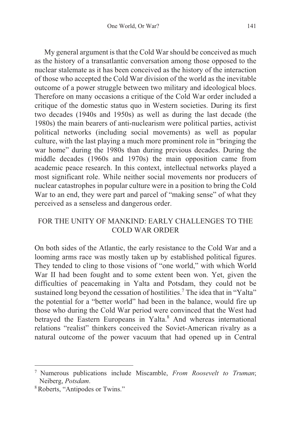My general argument is that the Cold War should be conceived as much as the history of a transatlantic conversation among those opposed to the nuclear stalemate as it has been conceived as the history of the interaction of those who accepted the Cold War division of the world as the inevitable outcome of a power struggle between two military and ideological blocs. Therefore on many occasions a critique of the Cold War order included a critique of the domestic status quo in Western societies. During its first two decades (1940s and 1950s) as well as during the last decade (the 1980s) the main bearers of anti-nuclearism were political parties, activist political networks (including social movements) as well as popular culture, with the last playing a much more prominent role in "bringing the war home" during the 1980s than during previous decades. During the middle decades (1960s and 1970s) the main opposition came from academic peace research. In this context, intellectual networks played a most significant role. While neither social movements nor producers of nuclear catastrophes in popular culture were in a position to bring the Cold War to an end, they were part and parcel of "making sense" of what they perceived as a senseless and dangerous order.

## FOR THE UNITY OF MANKIND: EARLY CHALLENGES TO THE COLD WAR ORDER

On both sides of the Atlantic, the early resistance to the Cold War and a looming arms race was mostly taken up by established political figures. They tended to cling to those visions of "one world," with which World War II had been fought and to some extent been won. Yet, given the difficulties of peacemaking in Yalta and Potsdam, they could not be sustained long beyond the cessation of hostilities.<sup>7</sup> The idea that in "Yalta" the potential for a "better world" had been in the balance, would fire up those who during the Cold War period were convinced that the West had betrayed the Eastern Europeans in Yalta.<sup>8</sup> And whereas international relations "realist" thinkers conceived the Soviet-American rivalry as a natural outcome of the power vacuum that had opened up in Central

<sup>7</sup> Numerous publications include Miscamble, *From Roosevelt to Truman*; Neiberg, *Potsdam*.<br><sup>8</sup> Roberts, "Antipodes or Twins."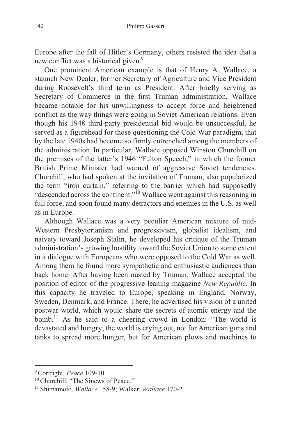Europe after the fall of Hitler's Germany, others resisted the idea that a new conflict was a historical given.<sup>9</sup>

One prominent American example is that of Henry A. Wallace, a staunch New Dealer, former Secretary of Agriculture and Vice President during Roosevelt's third term as President. After briefly serving as Secretary of Commerce in the first Truman administration, Wallace became notable for his unwillingness to accept force and heightened conflict as the way things were going in Soviet-American relations. Even though his 1948 third-party presidential bid would be unsuccessful, he served as a figurehead for those questioning the Cold War paradigm, that by the late 1940s had become so firmly entrenched among the members of the administration. In particular, Wallace opposed Winston Churchill on the premises of the latter's 1946 "Fulton Speech," in which the former British Prime Minister had warned of aggressive Soviet tendencies. Churchill, who had spoken at the invitation of Truman, also popularized the term "iron curtain," referring to the barrier which had supposedly "descended across the continent."10 Wallace went against this reasoning in full force, and soon found many detractors and enemies in the U.S. as well as in Europe.

Although Wallace was a very peculiar American mixture of mid-Western Presbyterianism and progressivism, globalist idealism, and naivety toward Joseph Stalin, he developed his critique of the Truman administration's growing hostility toward the Soviet Union to some extent in a dialogue with Europeans who were opposed to the Cold War as well. Among them he found more sympathetic and enthusiastic audiences than back home. After having been ousted by Truman, Wallace accepted the position of editor of the progressive-leaning magazine *New Republic*. In this capacity he traveled to Europe, speaking in England, Norway, Sweden, Denmark, and France. There, he advertised his vision of a united postwar world, which would share the secrets of atomic energy and the bomb.<sup>11</sup> As he said to a cheering crowd in London: "The world is devastated and hungry; the world is crying out, not for American guns and tanks to spread more hunger, but for American plows and machines to

<sup>9</sup> Cortright, *Peace* 109-10. 10 Churchill, "The Sinews of Peace." 11 Shimamoto, *Wallace* 158-9; Walker, *Wallace* 170-2.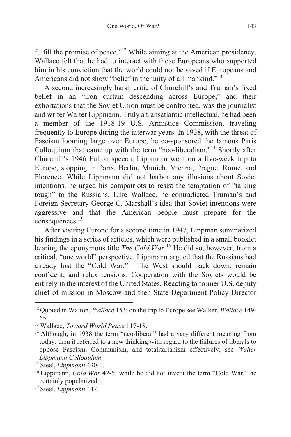fulfill the promise of peace."<sup>12</sup> While aiming at the American presidency, Wallace felt that he had to interact with those Europeans who supported him in his conviction that the world could not be saved if Europeans and Americans did not show "belief in the unity of all mankind."<sup>13</sup>

A second increasingly harsh critic of Churchill's and Truman's fixed belief in an "iron curtain descending across Europe," and their exhortations that the Soviet Union must be confronted, was the journalist and writer Walter Lippmann. Truly a transatlantic intellectual, he had been a member of the 1918-19 U.S. Armistice Commission, traveling frequently to Europe during the interwar years. In 1938, with the threat of Fascism looming large over Europe, he co-sponsored the famous Paris Colloquium that came up with the term "neo-liberalism."14 Shortly after Churchill's 1946 Fulton speech, Lippmann went on a five-week trip to Europe, stopping in Paris, Berlin, Munich, Vienna, Prague, Rome, and Florence. While Lippmann did not harbor any illusions about Soviet intentions, he urged his compatriots to resist the temptation of "talking tough" to the Russians. Like Wallace, he contradicted Truman's and Foreign Secretary George C. Marshall's idea that Soviet intentions were aggressive and that the American people must prepare for the consequences.15

After visiting Europe for a second time in 1947, Lippman summarized his findings in a series of articles, which were published in a small booklet bearing the eponymous title *The Cold War.*16 He did so, however, from a critical, "one world" perspective. Lippmann argued that the Russians had already lost the "Cold War."<sup>17</sup> The West should back down, remain confident, and relax tensions. Cooperation with the Soviets would be entirely in the interest of the United States. Reacting to former U.S. deputy chief of mission in Moscow and then State Department Policy Director

<sup>12</sup> Quoted in Walton, *Wallace* 153; on the trip to Europe see Walker, *Wallace* 149-

<sup>65.&</sup>lt;br><sup>13</sup> Wallace, *Toward World Peace* 117-18.

<sup>&</sup>lt;sup>14</sup> Although, in 1938 the term "neo-liberal" had a very different meaning from today: then it referred to a new thinking with regard to the failures of liberals to oppose Fascism, Communism, and totalitarianism effectively; see *Walter Lippmann Colloquium.*<br><sup>15</sup> Steel, *Lippmann* 430-1.<br><sup>16</sup> Lippmann, *Cold War* 42-5; while he did not invent the term "Cold War," he

certainly popularized it.

<sup>17</sup> Steel, *Lippmann* 447.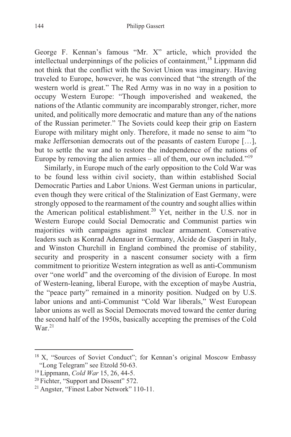George F. Kennan's famous "Mr. X" article, which provided the intellectual underpinnings of the policies of containment.<sup>18</sup> Lippmann did not think that the conflict with the Soviet Union was imaginary. Having traveled to Europe, however, he was convinced that "the strength of the western world is great." The Red Army was in no way in a position to occupy Western Europe: "Though impoverished and weakened, the nations of the Atlantic community are incomparably stronger, richer, more united, and politically more democratic and mature than any of the nations of the Russian perimeter." The Soviets could keep their grip on Eastern Europe with military might only. Therefore, it made no sense to aim "to make Jeffersonian democrats out of the peasants of eastern Europe […], but to settle the war and to restore the independence of the nations of Europe by removing the alien armies – all of them, our own included."<sup>19</sup>

Similarly, in Europe much of the early opposition to the Cold War was to be found less within civil society, than within established Social Democratic Parties and Labor Unions. West German unions in particular, even though they were critical of the Stalinization of East Germany, were strongly opposed to the rearmament of the country and sought allies within the American political establishment.20 Yet, neither in the U.S. nor in Western Europe could Social Democratic and Communist parties win majorities with campaigns against nuclear armament. Conservative leaders such as Konrad Adenauer in Germany, Alcide de Gasperi in Italy, and Winston Churchill in England combined the promise of stability, security and prosperity in a nascent consumer society with a firm commitment to prioritize Western integration as well as anti-Communism over "one world" and the overcoming of the division of Europe. In most of Western-leaning, liberal Europe, with the exception of maybe Austria, the "peace party" remained in a minority position. Nudged on by U.S. labor unions and anti-Communist "Cold War liberals," West European labor unions as well as Social Democrats moved toward the center during the second half of the 1950s, basically accepting the premises of the Cold  $\text{War.}^{21}$ 

<sup>&</sup>lt;sup>18</sup> X, "Sources of Soviet Conduct"; for Kennan's original Moscow Embassy "Long Telegram" see Etzold 50-63.

<sup>&</sup>lt;sup>19</sup> Lippmann, *Cold War* 15, 26, 44-5.<br><sup>20</sup> Fichter, "Support and Dissent" 572.<br><sup>21</sup> Angster, "Finest Labor Network" 110-11.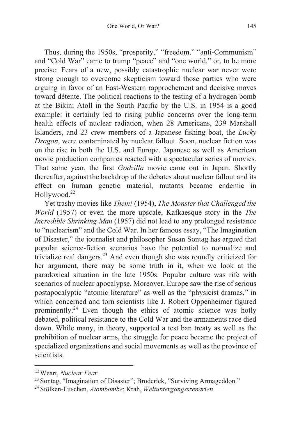Thus, during the 1950s, "prosperity," "freedom," "anti-Communism" and "Cold War" came to trump "peace" and "one world," or, to be more precise: Fears of a new, possibly catastrophic nuclear war never were strong enough to overcome skepticism toward those parties who were arguing in favor of an East-Western rapprochement and decisive moves toward détente. The political reactions to the testing of a hydrogen bomb at the Bikini Atoll in the South Pacific by the U.S. in 1954 is a good example: it certainly led to rising public concerns over the long-term health effects of nuclear radiation, when 28 Americans, 239 Marshall Islanders, and 23 crew members of a Japanese fishing boat, the *Lucky Dragon*, were contaminated by nuclear fallout. Soon, nuclear fiction was on the rise in both the U.S. and Europe. Japanese as well as American movie production companies reacted with a spectacular series of movies. That same year, the first *Godzilla* movie came out in Japan. Shortly thereafter, against the backdrop of the debates about nuclear fallout and its effect on human genetic material, mutants became endemic in Hollywood.<sup>22</sup>

Yet trashy movies like *Them!* (1954), *The Monster that Challenged the World* (1957) or even the more upscale, Kafkaesque story in the *The Incredible Shrinking Man* (1957) did not lead to any prolonged resistance to "nuclearism" and the Cold War. In her famous essay, "The Imagination of Disaster," the journalist and philosopher Susan Sontag has argued that popular science-fiction scenarios have the potential to normalize and trivialize real dangers.<sup>23</sup> And even though she was roundly criticized for her argument, there may be some truth in it, when we look at the paradoxical situation in the late 1950s: Popular culture was rife with scenarios of nuclear apocalypse. Moreover, Europe saw the rise of serious postapocalyptic "atomic literature" as well as the "physicist dramas," in which concerned and torn scientists like J. Robert Oppenheimer figured prominently.24 Even though the ethics of atomic science was hotly debated, political resistance to the Cold War and the armaments race died down. While many, in theory, supported a test ban treaty as well as the prohibition of nuclear arms, the struggle for peace became the project of specialized organizations and social movements as well as the province of scientists.

<sup>22</sup> Weart, *Nuclear Fear*. 23 Sontag, "Imagination of Disaster"; Broderick, "Surviving Armageddon." 24 Stölken-Fitschen, *Atombombe*; Krah, *Weltuntergangsszenarien*.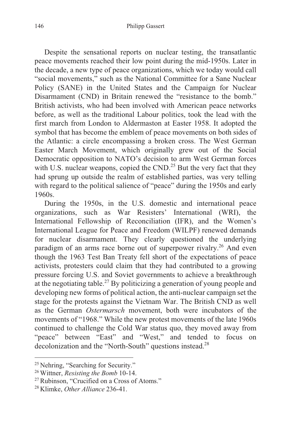Despite the sensational reports on nuclear testing, the transatlantic peace movements reached their low point during the mid-1950s. Later in the decade, a new type of peace organizations, which we today would call "social movements," such as the National Committee for a Sane Nuclear Policy (SANE) in the United States and the Campaign for Nuclear Disarmament (CND) in Britain renewed the "resistance to the bomb." British activists, who had been involved with American peace networks before, as well as the traditional Labour politics, took the lead with the first march from London to Aldermaston at Easter 1958. It adopted the symbol that has become the emblem of peace movements on both sides of the Atlantic: a circle encompassing a broken cross. The West German Easter March Movement, which originally grew out of the Social Democratic opposition to NATO's decision to arm West German forces with U.S. nuclear weapons, copied the CND.<sup>25</sup> But the very fact that they had sprung up outside the realm of established parties, was very telling with regard to the political salience of "peace" during the 1950s and early 1960s.

During the 1950s, in the U.S. domestic and international peace organizations, such as War Resisters' International (WRI), the International Fellowship of Reconciliation (IFR), and the Women's International League for Peace and Freedom (WILPF) renewed demands for nuclear disarmament. They clearly questioned the underlying paradigm of an arms race borne out of superpower rivalry.<sup>26</sup> And even though the 1963 Test Ban Treaty fell short of the expectations of peace activists, protesters could claim that they had contributed to a growing pressure forcing U.S. and Soviet governments to achieve a breakthrough at the negotiating table.<sup>27</sup> By politicizing a generation of young people and developing new forms of political action, the anti-nuclear campaign set the stage for the protests against the Vietnam War. The British CND as well as the German *Ostermarsch* movement, both were incubators of the movements of "1968." While the new protest movements of the late 1960s continued to challenge the Cold War status quo, they moved away from "peace" between "East" and "West," and tended to focus on decolonization and the "North-South" questions instead.<sup>28</sup>

<sup>25</sup> Nehring, "Searching for Security." 26 Wittner, *Resisting the Bomb* 10-14. 27 Rubinson, "Crucified on a Cross of Atoms." 28 Klimke, *Other Alliance* 236-41.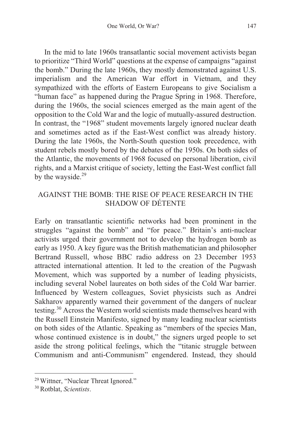In the mid to late 1960s transatlantic social movement activists began to prioritize "Third World" questions at the expense of campaigns "against the bomb." During the late 1960s, they mostly demonstrated against U.S. imperialism and the American War effort in Vietnam, and they sympathized with the efforts of Eastern Europeans to give Socialism a "human face" as happened during the Prague Spring in 1968. Therefore, during the 1960s, the social sciences emerged as the main agent of the opposition to the Cold War and the logic of mutually-assured destruction. In contrast, the "1968" student movements largely ignored nuclear death and sometimes acted as if the East-West conflict was already history. During the late 1960s, the North-South question took precedence, with student rebels mostly bored by the debates of the 1950s. On both sides of the Atlantic, the movements of 1968 focused on personal liberation, civil rights, and a Marxist critique of society, letting the East-West conflict fall by the wayside.<sup>29</sup>

#### AGAINST THE BOMB: THE RISE OF PEACE RESEARCH IN THE SHADOW OF DÉTENTE

Early on transatlantic scientific networks had been prominent in the struggles "against the bomb" and "for peace." Britain's anti-nuclear activists urged their government not to develop the hydrogen bomb as early as 1950. A key figure was the British mathematician and philosopher Bertrand Russell, whose BBC radio address on 23 December 1953 attracted international attention. It led to the creation of the Pugwash Movement, which was supported by a number of leading physicists, including several Nobel laureates on both sides of the Cold War barrier. Influenced by Western colleagues, Soviet physicists such as Andrei Sakharov apparently warned their government of the dangers of nuclear testing.30 Across the Western world scientists made themselves heard with the Russell Einstein Manifesto, signed by many leading nuclear scientists on both sides of the Atlantic. Speaking as "members of the species Man, whose continued existence is in doubt," the signers urged people to set aside the strong political feelings, which the "titanic struggle between Communism and anti-Communism" engendered. Instead, they should

<sup>&</sup>lt;u> 1989 - Johann Barn, mars eta bainar eta bainar eta baina eta baina eta baina eta baina eta baina eta baina e</u> 29 Wittner, "Nuclear Threat Ignored." 30 Rotblat, *Scientists*.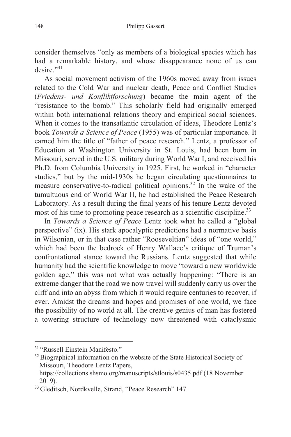consider themselves "only as members of a biological species which has had a remarkable history, and whose disappearance none of us can desire."<sup>31</sup>

As social movement activism of the 1960s moved away from issues related to the Cold War and nuclear death, Peace and Conflict Studies (*Friedens- und Konfliktforschung*) became the main agent of the "resistance to the bomb." This scholarly field had originally emerged within both international relations theory and empirical social sciences. When it comes to the transatlantic circulation of ideas, Theodore Lentz's book *Towards a Science of Peace* (1955) was of particular importance. It earned him the title of "father of peace research." Lentz, a professor of Education at Washington University in St. Louis, had been born in Missouri, served in the U.S. military during World War I, and received his Ph.D. from Columbia University in 1925. First, he worked in "character studies," but by the mid-1930s he began circulating questionnaires to measure conservative-to-radical political opinions.<sup>32</sup> In the wake of the tumultuous end of World War II, he had established the Peace Research Laboratory. As a result during the final years of his tenure Lentz devoted most of his time to promoting peace research as a scientific discipline.<sup>33</sup>

In *Towards a Science of Peace* Lentz took what he called a "global perspective" (ix). His stark apocalyptic predictions had a normative basis in Wilsonian, or in that case rather "Rooseveltian" ideas of "one world," which had been the bedrock of Henry Wallace's critique of Truman's confrontational stance toward the Russians. Lentz suggested that while humanity had the scientific knowledge to move "toward a new worldwide golden age," this was not what was actually happening: "There is an extreme danger that the road we now travel will suddenly carry us over the cliff and into an abyss from which it would require centuries to recover, if ever. Amidst the dreams and hopes and promises of one world, we face the possibility of no world at all. The creative genius of man has fostered a towering structure of technology now threatened with cataclysmic

<sup>&</sup>lt;sup>31</sup> "Russell Einstein Manifesto."<br><sup>32</sup> Biographical information on the website of the State Historical Society of Missouri, Theodore Lentz Papers,

https://collections.shsmo.org/manuscripts/stlouis/s0435.pdf (18 November 2019).

<sup>33</sup> Gleditsch, Nordkvelle, Strand, "Peace Research" 147.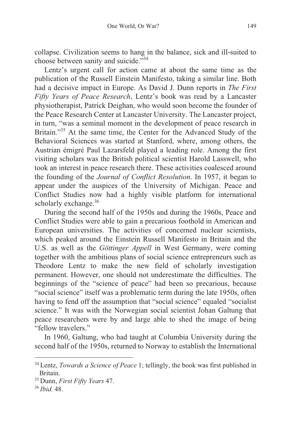collapse. Civilization seems to hang in the balance, sick and ill-suited to choose between sanity and suicide."<sup>34</sup>

Lentz's urgent call for action came at about the same time as the publication of the Russell Einstein Manifesto, taking a similar line. Both had a decisive impact in Europe. As David J. Dunn reports in *The First Fifty Years of Peace Research*, Lentz's book was read by a Lancaster physiotherapist, Patrick Deighan, who would soon become the founder of the Peace Research Center at Lancaster University. The Lancaster project, in turn, "was a seminal moment in the development of peace research in Britain."<sup>35</sup> At the same time, the Center for the Advanced Study of the Behavioral Sciences was started at Stanford, where, among others, the Austrian émigré Paul Lazarsfeld played a leading role. Among the first visiting scholars was the British political scientist Harold Lasswell, who took an interest in peace research there. These activities coalesced around the founding of the *Journal of Conflict Resolution*. In 1957, it began to appear under the auspices of the University of Michigan. Peace and Conflict Studies now had a highly visible platform for international scholarly exchange. $36$ 

During the second half of the 1950s and during the 1960s, Peace and Conflict Studies were able to gain a precarious foothold in American and European universities. The activities of concerned nuclear scientists, which peaked around the Einstein Russell Manifesto in Britain and the U.S. as well as the *Göttinger Appell* in West Germany, were coming together with the ambitious plans of social science entrepreneurs such as Theodore Lentz to make the new field of scholarly investigation permanent. However, one should not underestimate the difficulties. The beginnings of the "science of peace" had been so precarious, because "social science" itself was a problematic term during the late 1950s, often having to fend off the assumption that "social science" equaled "socialist science." It was with the Norwegian social scientist Johan Galtung that peace researchers were by and large able to shed the image of being "fellow travelers."

In 1960, Galtung, who had taught at Columbia University during the second half of the 1950s, returned to Norway to establish the International

<sup>34</sup> Lentz, *Towards a Science of Peace* 1; tellingly, the book was first published in Britain.

<sup>35</sup> Dunn, *First Fifty Years* 47. 36 *Ibid.* 48.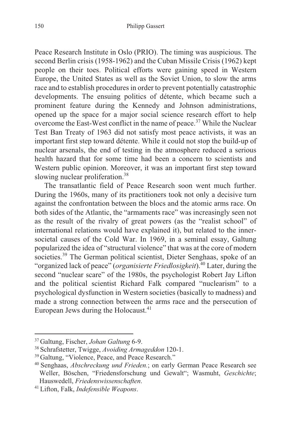Peace Research Institute in Oslo (PRIO). The timing was auspicious. The second Berlin crisis (1958-1962) and the Cuban Missile Crisis (1962) kept people on their toes. Political efforts were gaining speed in Western Europe, the United States as well as the Soviet Union, to slow the arms race and to establish procedures in order to prevent potentially catastrophic developments. The ensuing politics of détente, which became such a prominent feature during the Kennedy and Johnson administrations, opened up the space for a major social science research effort to help overcome the East-West conflict in the name of peace.<sup>37</sup> While the Nuclear Test Ban Treaty of 1963 did not satisfy most peace activists, it was an important first step toward détente. While it could not stop the build-up of nuclear arsenals, the end of testing in the atmosphere reduced a serious health hazard that for some time had been a concern to scientists and Western public opinion. Moreover, it was an important first step toward slowing nuclear proliferation.<sup>38</sup>

The transatlantic field of Peace Research soon went much further. During the 1960s, many of its practitioners took not only a decisive turn against the confrontation between the blocs and the atomic arms race. On both sides of the Atlantic, the "armaments race" was increasingly seen not as the result of the rivalry of great powers (as the "realist school" of international relations would have explained it), but related to the innersocietal causes of the Cold War. In 1969, in a seminal essay, Galtung popularized the idea of "structural violence" that was at the core of modern societies.<sup>39</sup> The German political scientist, Dieter Senghaas, spoke of an "organized lack of peace" (*organisierte Friedlosigkeit*).40 Later, during the second "nuclear scare" of the 1980s, the psychologist Robert Jay Lifton and the political scientist Richard Falk compared "nuclearism" to a psychological dysfunction in Western societies (basically to madness) and made a strong connection between the arms race and the persecution of European Jews during the Holocaust.<sup>41</sup>

<sup>&</sup>lt;sup>37</sup> Galtung, Fischer, *Johan Galtung* 6-9.<br><sup>38</sup> Schrafstetter, Twigge, *Avoiding Armageddon* 120-1.<br><sup>39</sup> Galtung, "Violence, Peace, and Peace Research."<br><sup>40</sup> Senghaas, *Abschreckung und Frieden*.; on early German Peace Re Weller, Böschen, "Friedensforschung und Gewalt"; Wasmuht, *Geschichte*;

Hauswedell, *Friedenswissenschaften*. 41 Lifton, Falk, *Indefensible Weapons*.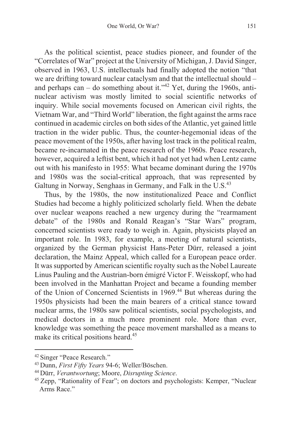As the political scientist, peace studies pioneer, and founder of the "Correlates of War" project at the University of Michigan, J. David Singer, observed in 1963, U.S. intellectuals had finally adopted the notion "that we are drifting toward nuclear cataclysm and that the intellectual should – and perhaps can – do something about it."<sup>42</sup> Yet, during the 1960s, antinuclear activism was mostly limited to social scientific networks of inquiry. While social movements focused on American civil rights, the Vietnam War, and "Third World" liberation, the fight against the arms race continued in academic circles on both sides of the Atlantic, yet gained little traction in the wider public. Thus, the counter-hegemonial ideas of the peace movement of the 1950s, after having lost track in the political realm, became re-incarnated in the peace research of the 1960s. Peace research, however, acquired a leftist bent, which it had not yet had when Lentz came out with his manifesto in 1955: What became dominant during the 1970s and 1980s was the social-critical approach, that was represented by Galtung in Norway, Senghaas in Germany, and Falk in the U.S.<sup>43</sup>

Thus, by the 1980s, the now institutionalized Peace and Conflict Studies had become a highly politicized scholarly field. When the debate over nuclear weapons reached a new urgency during the "rearmament debate" of the 1980s and Ronald Reagan's "Star Wars" program, concerned scientists were ready to weigh in. Again, physicists played an important role. In 1983, for example, a meeting of natural scientists, organized by the German physicist Hans-Peter Dürr, released a joint declaration, the Mainz Appeal, which called for a European peace order. It was supported by American scientific royalty such as the Nobel Laureate Linus Pauling and the Austrian-born émigré Victor F. Weisskopf, who had been involved in the Manhattan Project and became a founding member of the Union of Concerned Scientists in 1969.44 But whereas during the 1950s physicists had been the main bearers of a critical stance toward nuclear arms, the 1980s saw political scientists, social psychologists, and medical doctors in a much more prominent role. More than ever, knowledge was something the peace movement marshalled as a means to make its critical positions heard.<sup>45</sup>

<sup>&</sup>lt;sup>42</sup> Singer "Peace Research."<br><sup>43</sup> Dunn, *First Fifty Years* 94-6; Weller/Böschen.<br><sup>44</sup> Dürr, *Verantwortung*; Moore, *Disrupting Science*.<br><sup>45</sup> Zepp, "Rationality of Fear"; on doctors and psychologists: Kemper, "Nuclear" Arms Race."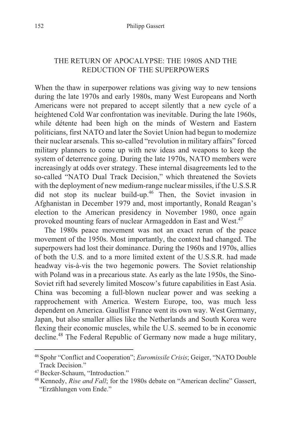## THE RETURN OF APOCALYPSE: THE 1980S AND THE REDUCTION OF THE SUPERPOWERS

When the thaw in superpower relations was giving way to new tensions during the late 1970s and early 1980s, many West Europeans and North Americans were not prepared to accept silently that a new cycle of a heightened Cold War confrontation was inevitable. During the late 1960s, while détente had been high on the minds of Western and Eastern politicians, first NATO and later the Soviet Union had begun to modernize their nuclear arsenals. This so-called "revolution in military affairs" forced military planners to come up with new ideas and weapons to keep the system of deterrence going. During the late 1970s, NATO members were increasingly at odds over strategy. These internal disagreements led to the so-called "NATO Dual Track Decision," which threatened the Soviets with the deployment of new medium-range nuclear missiles, if the U.S.S.R did not stop its nuclear build-up.<sup>46</sup> Then, the Soviet invasion in Afghanistan in December 1979 and, most importantly, Ronald Reagan's election to the American presidency in November 1980, once again provoked mounting fears of nuclear Armageddon in East and West.47

The 1980s peace movement was not an exact rerun of the peace movement of the 1950s. Most importantly, the context had changed. The superpowers had lost their dominance. During the 1960s and 1970s, allies of both the U.S. and to a more limited extent of the U.S.S.R. had made headway vis-à-vis the two hegemonic powers. The Soviet relationship with Poland was in a precarious state. As early as the late 1950s, the Sino-Soviet rift had severely limited Moscow's future capabilities in East Asia. China was becoming a full-blown nuclear power and was seeking a rapprochement with America. Western Europe, too, was much less dependent on America. Gaullist France went its own way. West Germany, Japan, but also smaller allies like the Netherlands and South Korea were flexing their economic muscles, while the U.S. seemed to be in economic decline.48 The Federal Republic of Germany now made a huge military,

<sup>46</sup> Spohr "Conflict and Cooperation"; *Euromissile Crisis*; Geiger, "NATO Double Track Decision."<br><sup>47</sup> Becker-Schaum. "Introduction."

<sup>&</sup>lt;sup>48</sup> Kennedy, *Rise and Fall*; for the 1980s debate on "American decline" Gassert, "Erzählungen vom Ende."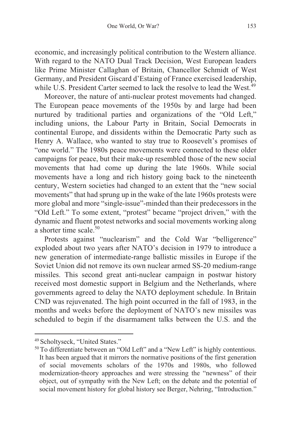economic, and increasingly political contribution to the Western alliance. With regard to the NATO Dual Track Decision, West European leaders like Prime Minister Callaghan of Britain, Chancellor Schmidt of West Germany, and President Giscard d'Estaing of France exercised leadership, while U.S. President Carter seemed to lack the resolve to lead the West.<sup>49</sup>

Moreover, the nature of anti-nuclear protest movements had changed. The European peace movements of the 1950s by and large had been nurtured by traditional parties and organizations of the "Old Left," including unions, the Labour Party in Britain, Social Democrats in continental Europe, and dissidents within the Democratic Party such as Henry A. Wallace, who wanted to stay true to Roosevelt's promises of "one world." The 1980s peace movements were connected to these older campaigns for peace, but their make-up resembled those of the new social movements that had come up during the late 1960s. While social movements have a long and rich history going back to the nineteenth century, Western societies had changed to an extent that the "new social movements" that had sprung up in the wake of the late 1960s protests were more global and more "single-issue"-minded than their predecessors in the "Old Left." To some extent, "protest" became "project driven," with the dynamic and fluent protest networks and social movements working along a shorter time scale.<sup>50</sup>

Protests against "nuclearism" and the Cold War "belligerence" exploded about two years after NATO's decision in 1979 to introduce a new generation of intermediate-range ballistic missiles in Europe if the Soviet Union did not remove its own nuclear armed SS-20 medium-range missiles. This second great anti-nuclear campaign in postwar history received most domestic support in Belgium and the Netherlands, where governments agreed to delay the NATO deployment schedule. In Britain CND was rejuvenated. The high point occurred in the fall of 1983, in the months and weeks before the deployment of NATO's new missiles was scheduled to begin if the disarmament talks between the U.S. and the

<sup>&</sup>lt;sup>49</sup> Scholtyseck, "United States."  $50$  To differentiate between an "Old Left" and a "New Left" is highly contentious. It has been argued that it mirrors the normative positions of the first generation of social movements scholars of the 1970s and 1980s, who followed modernization-theory approaches and were stressing the "newness" of their object, out of sympathy with the New Left; on the debate and the potential of social movement history for global history see Berger, Nehring, "Introduction."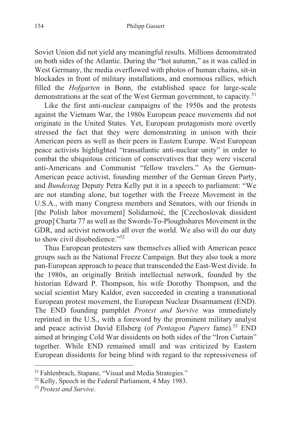Soviet Union did not yield any meaningful results. Millions demonstrated on both sides of the Atlantic. During the "hot autumn," as it was called in West Germany, the media overflowed with photos of human chains, sit-in blockades in front of military installations, and enormous rallies, which filled the *Hofgarten* in Bonn, the established space for large-scale demonstrations at the seat of the West German government, to capacity.<sup>51</sup>

Like the first anti-nuclear campaigns of the 1950s and the protests against the Vietnam War, the 1980s European peace movements did not originate in the United States. Yet, European protagonists more overtly stressed the fact that they were demonstrating in unison with their American peers as well as their peers in Eastern Europe. West European peace activists highlighted "transatlantic anti-nuclear unity" in order to combat the ubiquitous criticism of conservatives that they were visceral anti-Americans and Communist "fellow travelers." As the German-American peace activist, founding member of the German Green Party, and *Bundestag* Deputy Petra Kelly put it in a speech to parliament: "We are not standing alone, but together with the Freeze Movement in the U.S.A., with many Congress members and Senators, with our friends in [the Polish labor movement] Solidarność, the [Czechoslovak dissident] group] Charta 77 as well as the Swords-To-Ploughshares Movement in the GDR, and activist networks all over the world. We also will do our duty to show civil disobedience."<sup>52</sup>

Thus European protesters saw themselves allied with American peace groups such as the National Freeze Campaign. But they also took a more pan-European approach to peace that transcended the East-West divide. In the 1980s, an originally British intellectual network, founded by the historian Edward P. Thompson, his wife Dorothy Thompson, and the social scientist Mary Kaldor, even succeeded in creating a transnational European protest movement, the European Nuclear Disarmament (END). The END founding pamphlet *Protest and Survive* was immediately reprinted in the U.S., with a foreword by the prominent military analyst and peace activist David Ellsberg (of *Pentagon Papers* fame).<sup>53</sup> END aimed at bringing Cold War dissidents on both sides of the "Iron Curtain" together. While END remained small and was criticized by Eastern European dissidents for being blind with regard to the repressiveness of

<sup>51</sup> Fahlenbrach, Stapane, "Visual and Media Strategies." 52 Kelly, Speech in the Federal Parliament, 4 May 1983. 53 *Protest and Survive*.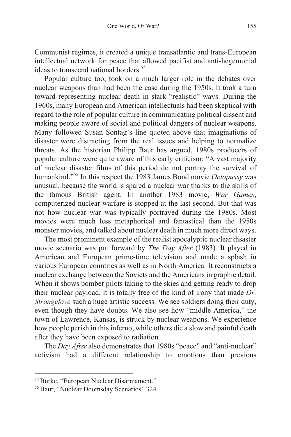Communist regimes, it created a unique transatlantic and trans-European intellectual network for peace that allowed pacifist and anti-hegemonial ideas to transcend national borders.<sup>54</sup>

Popular culture too, took on a much larger role in the debates over nuclear weapons than had been the case during the 1950s. It took a turn toward representing nuclear death in stark "realistic" ways. During the 1960s, many European and American intellectuals had been skeptical with regard to the role of popular culture in communicating political dissent and making people aware of social and political dangers of nuclear weapons. Many followed Susan Sontag's line quoted above that imaginations of disaster were distracting from the real issues and helping to normalize threats. As the historian Philipp Baur has argued, 1980s producers of popular culture were quite aware of this early criticism: "A vast majority of nuclear disaster films of this period do not portray the survival of humankind."55 In this respect the 1983 James Bond movie *Octopussy* was unusual, because the world is spared a nuclear war thanks to the skills of the famous British agent. In another 1983 movie, *War Games*, computerized nuclear warfare is stopped at the last second. But that was not how nuclear war was typically portrayed during the 1980s. Most movies were much less metaphorical and fantastical than the 1950s monster movies, and talked about nuclear death in much more direct ways.

The most prominent example of the realist apocalyptic nuclear disaster movie scenario was put forward by *The Day After* (1983). It played in American and European prime-time television and made a splash in various European countries as well as in North America. It reconstructs a nuclear exchange between the Soviets and the Americans in graphic detail. When it shows bomber pilots taking to the skies and getting ready to drop their nuclear payload, it is totally free of the kind of irony that made *Dr. Strangelove* such a huge artistic success. We see soldiers doing their duty, even though they have doubts. We also see how "middle America," the town of Lawrence, Kansas, is struck by nuclear weapons. We experience how people perish in this inferno, while others die a slow and painful death after they have been exposed to radiation.

The *Day After* also demonstrates that 1980s "peace" and "anti-nuclear" activism had a different relationship to emotions than previous

<sup>54</sup> Burke, "European Nuclear Disarmament." 55 Baur, "Nuclear Doomsday Scenarios" 324.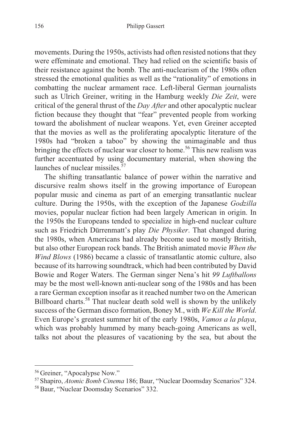movements. During the 1950s, activists had often resisted notions that they were effeminate and emotional. They had relied on the scientific basis of their resistance against the bomb. The anti-nuclearism of the 1980s often stressed the emotional qualities as well as the "rationality" of emotions in combatting the nuclear armament race. Left-liberal German journalists such as Ulrich Greiner, writing in the Hamburg weekly *Die Zeit*, were critical of the general thrust of the *Day After* and other apocalyptic nuclear fiction because they thought that "fear" prevented people from working toward the abolishment of nuclear weapons. Yet, even Greiner accepted that the movies as well as the proliferating apocalyptic literature of the 1980s had "broken a taboo" by showing the unimaginable and thus bringing the effects of nuclear war closer to home.<sup>56</sup> This new realism was further accentuated by using documentary material, when showing the launches of nuclear missiles. $57$ 

The shifting transatlantic balance of power within the narrative and discursive realm shows itself in the growing importance of European popular music and cinema as part of an emerging transatlantic nuclear culture. During the 1950s, with the exception of the Japanese *Godzilla* movies, popular nuclear fiction had been largely American in origin. In the 1950s the Europeans tended to specialize in high-end nuclear culture such as Friedrich Dürrenmatt's play *Die Physiker*. That changed during the 1980s, when Americans had already become used to mostly British, but also other European rock bands. The British animated movie *When the Wind Blows* (1986) became a classic of transatlantic atomic culture, also because of its harrowing soundtrack, which had been contributed by David Bowie and Roger Waters. The German singer Nena's hit *99 Luftballons* may be the most well-known anti-nuclear song of the 1980s and has been a rare German exception insofar as it reached number two on the American Billboard charts.<sup>58</sup> That nuclear death sold well is shown by the unlikely success of the German disco formation, Boney M., with *We Kill the World*. Even Europe's greatest summer hit of the early 1980s, *Vamos a la playa*, which was probably hummed by many beach-going Americans as well, talks not about the pleasures of vacationing by the sea, but about the

<sup>56</sup> Greiner, "Apocalypse Now." 57 Shapiro, *Atomic Bomb Cinema* 186; Baur, "Nuclear Doomsday Scenarios" 324. 58 Baur, "Nuclear Doomsday Scenarios" 332.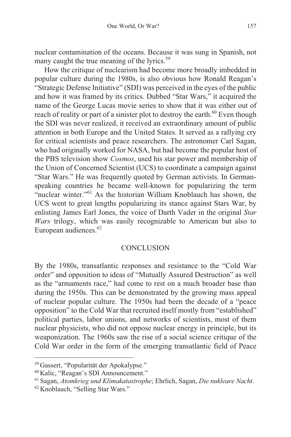nuclear contamination of the oceans. Because it was sung in Spanish, not many caught the true meaning of the lyrics.<sup>59</sup>

How the critique of nuclearism had become more broadly imbedded in popular culture during the 1980s, is also obvious how Ronald Reagan's "Strategic Defense Initiative" (SDI) was perceived in the eyes of the public and how it was framed by its critics. Dubbed "Star Wars," it acquired the name of the George Lucas movie series to show that it was either out of reach of reality or part of a sinister plot to destroy the earth.<sup>60</sup> Even though the SDI was never realized, it received an extraordinary amount of public attention in both Europe and the United States. It served as a rallying cry for critical scientists and peace researchers. The astronomer Carl Sagan, who had originally worked for NASA, but had become the popular host of the PBS television show *Cosmos*, used his star power and membership of the Union of Concerned Scientist (UCS) to coordinate a campaign against "Star Wars." He was frequently quoted by German activists. In Germanspeaking countries he became well-known for popularizing the term "nuclear winter."61 As the historian William Knoblauch has shown, the UCS went to great lengths popularizing its stance against Stars War, by enlisting James Earl Jones, the voice of Darth Vader in the original *Star Wars* trilogy, which was easily recognizable to American but also to European audiences.<sup>62</sup>

#### **CONCLUSION**

By the 1980s, transatlantic responses and resistance to the "Cold War order" and opposition to ideas of "Mutually Assured Destruction" as well as the "armaments race," had come to rest on a much broader base than during the 1950s. This can be demonstrated by the growing mass appeal of nuclear popular culture. The 1950s had been the decade of a "peace opposition" to the Cold War that recruited itself mostly from "established" political parties, labor unions, and networks of scientists, most of them nuclear physicists, who did not oppose nuclear energy in principle, but its weaponization. The 1960s saw the rise of a social science critique of the Cold War order in the form of the emerging transatlantic field of Peace

<sup>59</sup>Gassert, "Popularität der Apokalypse."

<sup>60</sup>Kalic, "Reagan's SDI Announcement." 61 Sagan, *Atomkrieg und Klimakatastrophe*; Ehrlich, Sagan, *Die nukleare Nacht*. 62 Knoblauch, "Selling Star Wars."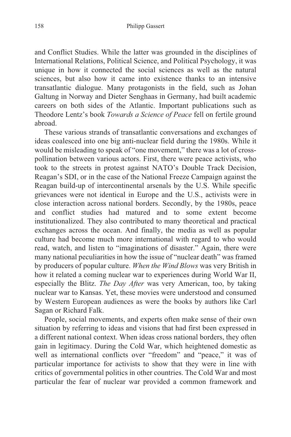and Conflict Studies. While the latter was grounded in the disciplines of International Relations, Political Science, and Political Psychology, it was unique in how it connected the social sciences as well as the natural sciences, but also how it came into existence thanks to an intensive transatlantic dialogue. Many protagonists in the field, such as Johan Galtung in Norway and Dieter Senghaas in Germany, had built academic careers on both sides of the Atlantic. Important publications such as Theodore Lentz's book *Towards a Science of Peace* fell on fertile ground abroad.

These various strands of transatlantic conversations and exchanges of ideas coalesced into one big anti-nuclear field during the 1980s. While it would be misleading to speak of "one movement," there was a lot of crosspollination between various actors. First, there were peace activists, who took to the streets in protest against NATO's Double Track Decision, Reagan's SDI, or in the case of the National Freeze Campaign against the Reagan build-up of intercontinental arsenals by the U.S. While specific grievances were not identical in Europe and the U.S., activists were in close interaction across national borders. Secondly, by the 1980s, peace and conflict studies had matured and to some extent become institutionalized. They also contributed to many theoretical and practical exchanges across the ocean. And finally, the media as well as popular culture had become much more international with regard to who would read, watch, and listen to "imaginations of disaster." Again, there were many national peculiarities in how the issue of "nuclear death" was framed by producers of popular culture. *When the Wind Blows* was very British in how it related a coming nuclear war to experiences during World War II, especially the Blitz. *The Day After* was very American, too, by taking nuclear war to Kansas. Yet, these movies were understood and consumed by Western European audiences as were the books by authors like Carl Sagan or Richard Falk.

People, social movements, and experts often make sense of their own situation by referring to ideas and visions that had first been expressed in a different national context. When ideas cross national borders, they often gain in legitimacy. During the Cold War, which heightened domestic as well as international conflicts over "freedom" and "peace," it was of particular importance for activists to show that they were in line with critics of governmental politics in other countries. The Cold War and most particular the fear of nuclear war provided a common framework and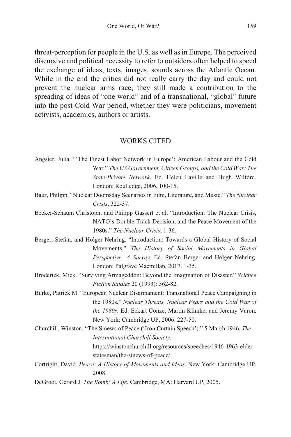threat-perception for people in the U.S. as well as in Europe. The perceived discursive and political necessity to refer to outsiders often helped to speed the exchange of ideas, texts, images, sounds across the Atlantic Ocean. While in the end the critics did not really carry the day and could not prevent the nuclear arms race, they still made a contribution to the spreading of ideas of "one world" and of a transnational, "global" future into the post-Cold War period, whether they were politicians, movement activists, academics, authors or artists.

#### WORKS CITED

- Angster, Julia. "'The Finest Labor Network in Europe': American Labour and the Cold War." *The US Government, Citizen Groups, and the Cold War: The State-Private Network*. Ed. Helen Laville and Hugh Wilford. London: Routledge, 2006. 100-15.
- Baur, Philipp. "Nuclear Doomsday Scenarios in Film, Literature, and Music." *The Nuclear Crisis*, 322-37.
- Becker-Schaum Christoph, and Philipp Gassert et al. "Introduction: The Nuclear Crisis, NATO's Double-Track Decision, and the Peace Movement of the 1980s." *The Nuclear Crisis*, 1-36.
- Berger, Stefan, and Holger Nehring. "Introduction: Towards a Global History of Social Movements." *The History of Social Movements in Global Perspective: A Survey*. Ed. Stefan Berger and Holger Nehring. London: Palgrave Macmillan, 2017. 1-35.
- Broderick, Mick. "Surviving Armageddon: Beyond the Imagination of Disaster." *Science Fiction Studies* 20 (1993): 362-82.
- Burke, Patrick M. "European Nuclear Disarmament: Transnational Peace Campaigning in the 1980s." *Nuclear Threats, Nuclear Fears and the Cold War of the 1980s*. Ed. Eckart Conze, Martin Klimke, and Jeremy Varon. New York: Cambridge UP, 2006. 227-50.
- Churchill, Winston. "The Sinews of Peace ('Iron Curtain Speech')." 5 March 1946, *The International Churchill Society*,

https://winstonchurchill.org/resources/speeches/1946-1963-elderstatesman/the-sinews-of-peace/.

- Cortright, David. *Peace: A History of Movements and Ideas*. New York: Cambridge UP, 2008.
- DeGroot, Gerard J. *The Bomb: A Life*. Cambridge, MA: Harvard UP, 2005.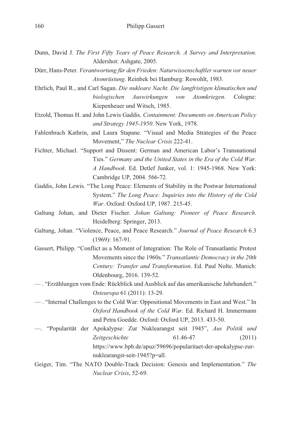- Dunn, David J. *The First Fifty Years of Peace Research. A Survey and Interpretation*. Aldershot: Ashgate, 2005.
- Dürr, Hans-Peter. *Verantwortung für den Frieden: Naturwissenschaftler warnen vor neuer Atomrüstung*. Reinbek bei Hamburg: Rowohlt, 1983.
- Ehrlich, Paul R., and Carl Sagan. *Die nukleare Nacht. Die langfristigen klimatischen und biologischen Auswirkungen von Atomkriegen*. Cologne: Kiepenheuer und Witsch, 1985.
- Etzold, Thomas H. and John Lewis Gaddis. *Containment: Documents on American Policy and Strategy 1945-1950*. New York, 1978.
- Fahlenbrach Kathrin, and Laura Stapane. "Visual and Media Strategies of the Peace Movement," *The Nuclear Crisis* 222-41.
- Fichter, Michael. "Support and Dissent: German and American Labor's Transnational Ties." *Germany and the United States in the Era of the Cold War. A Handbook*. Ed. Detlef Junker, vol. 1: 1945-1968. New York: Cambridge UP, 2004. 566-72.
- Gaddis, John Lewis. "The Long Peace: Elements of Stability in the Postwar International System." *The Long Peace: Inquiries into the History of the Cold War*. Oxford: Oxford UP, 1987. 215-45.
- Galtung Johan, and Dieter Fischer. *Johan Galtung: Pioneer of Peace Research*. Heidelberg: Springer, 2013.
- Galtung, Johan. "Violence, Peace, and Peace Research." *Journal of Peace Research* 6.3 (1969): 167-91.
- Gassert, Philipp. "Conflict as a Moment of Integration: The Role of Transatlantic Protest Movements since the 1960s." *Transatlantic Democracy in the 20th Century: Transfer and Transformation*. Ed. Paul Nolte. Munich: Oldenbourg, 2016. 139-52.
- . "Erzählungen vom Ende: Rückblick und Ausblick auf das amerikanische Jahrhundert." *Osteuropa* 61 (2011): 13-29.
- . "Internal Challenges to the Cold War: Oppositional Movements in East and West." In *Oxford Handbook of the Cold War*. Ed. Richard H. Immermann and Petra Goedde. Oxford: Oxford UP, 2013. 433-50.
- —. "Popularität der Apokalypse: Zur Nuklearangst seit 1945", *Aus Politik und Zeitgeschichte* 61.46-47 (2011) https://www.bpb.de/apuz/59696/popularitaet-der-apokalypse-zurnuklearangst-seit-1945?p=all.
- Geiger, Tim. "The NATO Double-Track Decision: Genesis and Implementation." *The Nuclear Crisis*, 52-69.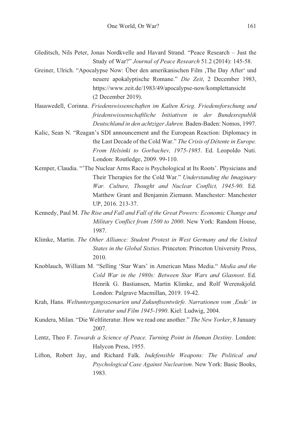- Gleditsch, Nils Peter, Jonas Nordkvelle and Havard Strand. "Peace Research Just the Study of War?" *Journal of Peace Research* 51.2 (2014): 145-58.
- Greiner, Ulrich. "Apocalypse Now: Über den amerikanischen Film 'The Day After' und neuere apokalyptische Romane." *Die Zeit*, 2 December 1983, https://www.zeit.de/1983/49/apocalypse-now/komplettansicht (2 December 2019).
- Hauswedell, Corinna. *Friedenswissenschaften im Kalten Krieg. Friedensforschung und friedenswissenschaftliche Initiativen in der Bundesrepublik Deutschland in den achtziger Jahren.* Baden-Baden: Nomos, 1997.
- Kalic, Sean N. "Reagan's SDI announcement and the European Reaction: Diplomacy in the Last Decade of the Cold War." *The Crisis of Détente in Europe. From Helsinki to Gorbachev, 1975-1985*. Ed. Leopoldo Nuti. London: Routledge, 2009. 99-110.
- Kemper, Claudia. "'The Nuclear Arms Race is Psychological at Its Roots'. Physicians and Their Therapies for the Cold War." *Understanding the Imaginary War. Culture, Thought and Nuclear Conflict, 1945-90*. Ed. Matthew Grant and Benjamin Ziemann. Manchester: Manchester UP, 2016. 213-37.
- Kennedy, Paul M. *The Rise and Fall and Fall of the Great Powers: Economic Change and Military Conflict from 1500 to 2000*. New York: Random House, 1987.
- Klimke, Martin. *The Other Alliance: Student Protest in West Germany and the United States in the Global Sixties*. Princeton: Princeton University Press, 2010.
- Knoblauch, William M. "Selling 'Star Wars' in American Mass Media." *Media and the Cold War in the 1980s: Between Star Wars and Glasnost*. Ed. Henrik G. Bastiansen, Martin Klimke, and Rolf Werenskjold. London: Palgrave Macmillan, 2019. 19-42.
- Krah, Hans. *Weltuntergangsszenarien und Zukunftsentwürfe. Narrationen vom 'Ende' in Literatur und Film 1945-1990*. Kiel: Ludwig, 2004.
- Kundera, Milan. "Die Weltliteratur. How we read one another." *The New Yorker*, 8 January 2007.
- Lentz, Theo F. *Towards a Science of Peace. Turning Point in Human Destiny*. London: Halycon Press, 1955.
- Lifton, Robert Jay, and Richard Falk. *Indefensible Weapons: The Political and Psychological Case Against Nuclearism*. New York: Basic Books, 1983.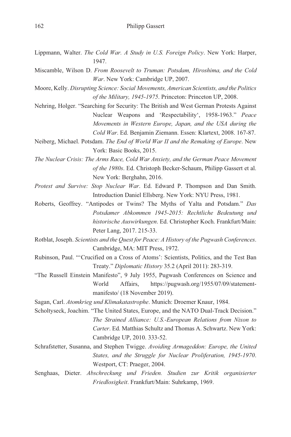- Lippmann, Walter. *The Cold War. A Study in U.S. Foreign Policy*. New York: Harper, 1947.
- Miscamble, Wilson D. *From Roosevelt to Truman: Potsdam, Hiroshima, and the Cold War*. New York: Cambridge UP, 2007.
- Moore, Kelly. *Disrupting Science: Social Movements, American Scientists, and the Politics of the Military, 1945-1975*. Princeton: Princeton UP, 2008.
- Nehring, Holger. "Searching for Security: The British and West German Protests Against Nuclear Weapons and 'Respectability', 1958-1963." *Peace Movements in Western Europe, Japan, and the USA during the Cold War*. Ed. Benjamin Ziemann. Essen: Klartext, 2008. 167-87.
- Neiberg, Michael. Potsdam. *The End of World War II and the Remaking of Europe*. New York: Basic Books, 2015.
- *The Nuclear Crisis: The Arms Race, Cold War Anxiety, and the German Peace Movement of the 1980s*. Ed. Christoph Becker-Schaum, Philipp Gassert et al. New York: Berghahn, 2016.
- *Protest and Survive: Stop Nuclear War*. Ed. Edward P. Thompson and Dan Smith. Introduction Daniel Ellsberg. New York: NYU Press, 1981.
- Roberts, Geoffrey. "Antipodes or Twins? The Myths of Yalta and Potsdam." *Das Potsdamer Abkommen 1945-2015: Rechtliche Bedeutung und historische Auswirkungen*. Ed. Christopher Koch. Frankfurt/Main: Peter Lang, 2017. 215-33.
- Rotblat, Joseph. *Scientists and the Quest for Peace: A History of the Pugwash Conferences*. Cambridge, MA: MIT Press, 1972.
- Rubinson, Paul. "'Crucified on a Cross of Atoms': Scientists, Politics, and the Test Ban Treaty." *Diplomatic History* 35.2 (April 2011): 283-319.
- "The Russell Einstein Manifesto", 9 July 1955, Pugwash Conferences on Science and World Affairs, https://pugwash.org/1955/07/09/statementmanifesto/ (18 November 2019).
- Sagan, Carl. *Atomkrieg und Klimakatastrophe*. Munich: Droemer Knaur, 1984.
- Scholtyseck, Joachim. "The United States, Europe, and the NATO Dual-Track Decision." *The Strained Alliance: U.S.-European Relations from Nixon to Carter*. Ed. Matthias Schultz and Thomas A. Schwartz. New York: Cambridge UP, 2010. 333-52.
- Schrafstetter, Susanna, and Stephen Twigge. *Avoiding Armageddon: Europe, the United States, and the Struggle for Nuclear Proliferation, 1945-1970*. Westport, CT: Praeger, 2004.
- Senghaas, Dieter. *Abschreckung und Frieden. Studien zur Kritik organisierter Friedlosigkeit*. Frankfurt/Main: Suhrkamp, 1969.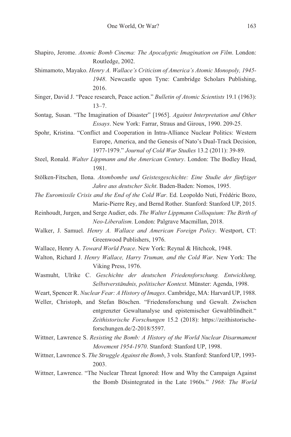- Shapiro, Jerome. *Atomic Bomb Cinema: The Apocalyptic Imagination on Film*. London: Routledge, 2002.
- Shimamoto, Mayako. *Henry A. Wallace's Criticism of America's Atomic Monopoly, 1945- 1948*. Newcastle upon Tyne: Cambridge Scholars Publishing, 2016.
- Singer, David J. "Peace research, Peace action." *Bulletin of Atomic Scientists* 19.1 (1963): 13–7.
- Sontag, Susan. "The Imagination of Disaster" [1965]. *Against Interpretation and Other Essays*. New York: Farrar, Straus and Giroux, 1990. 209-25.
- Spohr, Kristina. "Conflict and Cooperation in Intra-Alliance Nuclear Politics: Western Europe, America, and the Genesis of Nato's Dual-Track Decision, 1977-1979." *Journal of Cold War Studies* 13.2 (2011): 39-89.
- Steel, Ronald. *Walter Lippmann and the American Century*. London: The Bodley Head, 1981.
- Stölken-Fitschen, Ilona. *Atombombe und Geistesgeschichte: Eine Studie der fünfziger Jahre aus deutscher Sicht*. Baden-Baden: Nomos, 1995.
- *The Euromissile Crisis and the End of the Cold War*. Ed. Leopoldo Nuti, Frédéric Bozo, Marie-Pierre Rey, and Bernd Rother. Stanford: Stanford UP, 2015.
- Reinhoudt, Jurgen, and Serge Audier, eds. *The Walter Lippmann Colloquium: The Birth of Neo-Liberalism*. London: Palgrave Macmillan, 2018.
- Walker, J. Samuel. *Henry A. Wallace and American Foreign Policy*. Westport, CT: Greenwood Publishers, 1976.
- Wallace, Henry A. *Toward World Peace*. New York: Reynal & Hitchcok, 1948.
- Walton, Richard J. *Henry Wallace, Harry Truman, and the Cold War*. New York: The Viking Press, 1976.
- Wasmuht, Ulrike C. *Geschichte der deutschen Friedensforschung. Entwicklung, Selbstverständnis, politischer Kontext*. Münster: Agenda, 1998.
- Weart, Spencer R. *Nuclear Fear: A History of Images*. Cambridge, MA: Harvard UP, 1988.
- Weller, Christoph, and Stefan Böschen. "Friedensforschung und Gewalt. Zwischen entgrenzter Gewaltanalyse und epistemischer Gewaltblindheit." *Zeithistorische Forschungen* 15.2 (2018): https://zeithistorischeforschungen.de/2-2018/5597.
- Wittner, Lawrence S. *Resisting the Bomb: A History of the World Nuclear Disarmament Movement 1954-1970*. Stanford: Stanford UP, 1998.
- Wittner, Lawrence S. *The Struggle Against the Bomb*, 3 vols. Stanford: Stanford UP, 1993- 2003.
- Wittner, Lawrence. "The Nuclear Threat Ignored: How and Why the Campaign Against the Bomb Disintegrated in the Late 1960s." *1968: The World*